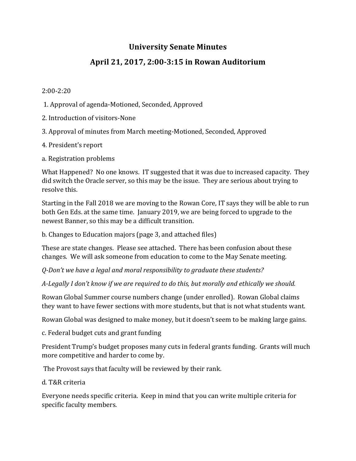## **University Senate Minutes**

## **April 21, 2017, 2:00-3:15 in Rowan Auditorium**

## 2:00-2:20

- 1. Approval of agenda-Motioned, Seconded, Approved
- 2. Introduction of visitors-None
- 3. Approval of minutes from March meeting-Motioned, Seconded, Approved
- 4. President's report
- a. Registration problems

What Happened? No one knows. IT suggested that it was due to increased capacity. They did switch the Oracle server, so this may be the issue. They are serious about trying to resolve this.

Starting in the Fall 2018 we are moving to the Rowan Core, IT says they will be able to run both Gen Eds. at the same time. January 2019, we are being forced to upgrade to the newest Banner, so this may be a difficult transition.

b. Changes to Education majors (page 3, and attached files)

These are state changes. Please see attached. There has been confusion about these changes. We will ask someone from education to come to the May Senate meeting.

*Q-Don't* we have a legal and moral responsibility to graduate these students?

A-Legally I don't know if we are required to do this, but morally and ethically we should.

Rowan Global Summer course numbers change (under enrolled). Rowan Global claims they want to have fewer sections with more students, but that is not what students want.

Rowan Global was designed to make money, but it doesn't seem to be making large gains.

c. Federal budget cuts and grant funding

President Trump's budget proposes many cuts in federal grants funding. Grants will much more competitive and harder to come by.

The Provost says that faculty will be reviewed by their rank.

d. T&R criteria 

Everyone needs specific criteria. Keep in mind that you can write multiple criteria for specific faculty members.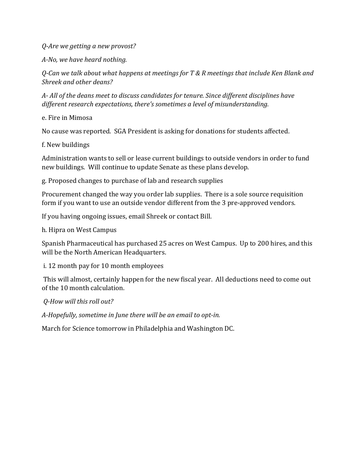*Q-Are we getting a new provost?*

*A-No, we have heard nothing.*

*Q*-Can we talk about what happens at meetings for T & R meetings that include Ken Blank and *Shreek and other deans?*

A- All of the deans meet to discuss candidates for tenure. Since different disciplines have different research expectations, there's sometimes a level of misunderstanding.

e. Fire in Mimosa

No cause was reported. SGA President is asking for donations for students affected.

f. New buildings 

Administration wants to sell or lease current buildings to outside vendors in order to fund new buildings. Will continue to update Senate as these plans develop.

g. Proposed changes to purchase of lab and research supplies

Procurement changed the way you order lab supplies. There is a sole source requisition form if you want to use an outside vendor different from the 3 pre-approved vendors.

If you having ongoing issues, email Shreek or contact Bill.

h. Hipra on West Campus

Spanish Pharmaceutical has purchased 25 acres on West Campus. Up to 200 hires, and this will be the North American Headquarters.

i. 12 month pay for 10 month employees

This will almost, certainly happen for the new fiscal year. All deductions need to come out of the 10 month calculation.

*Q-How will this roll out?*

A-Hopefully, sometime in June there will be an email to opt-in.

March for Science tomorrow in Philadelphia and Washington DC.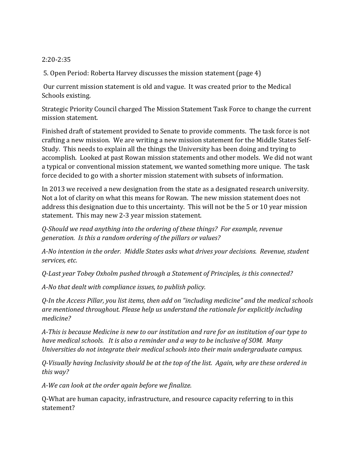## 2:20-2:35

5. Open Period: Roberta Harvey discusses the mission statement (page 4)

Our current mission statement is old and vague. It was created prior to the Medical Schools existing.

Strategic Priority Council charged The Mission Statement Task Force to change the current mission statement.

Finished draft of statement provided to Senate to provide comments. The task force is not crafting a new mission. We are writing a new mission statement for the Middle States Self-Study. This needs to explain all the things the University has been doing and trying to accomplish. Looked at past Rowan mission statements and other models. We did not want a typical or conventional mission statement, we wanted something more unique. The task force decided to go with a shorter mission statement with subsets of information.

In 2013 we received a new designation from the state as a designated research university. Not a lot of clarity on what this means for Rowan. The new mission statement does not address this designation due to this uncertainty. This will not be the 5 or 10 year mission statement. This may new 2-3 year mission statement.

*Q-Should we read anything into the ordering of these things? For example, revenue generation.* Is this a random ordering of the pillars or values?

A-No intention in the order. Middle States asks what drives your decisions. Revenue, student *services, etc.*

*Q-Last year Tobey Oxholm pushed through a Statement of Principles, is this connected?*

*A-No that dealt with compliance issues, to publish policy.*

*Q-In the Access Pillar, you list items, then add on "including medicine" and the medical schools* are mentioned throughout. Please help us understand the rationale for explicitly including *medicine?*

A-This is because Medicine is new to our institution and rare for an institution of our type to *have medical schools. It is also a reminder and a way to be inclusive of SOM. Many Universities do not integrate their medical schools into their main undergraduate campus.* 

*Q-Visually having Inclusivity should be at the top of the list. Again, why are these ordered in this way?*

A-We can look at the order again before we finalize.

Q-What are human capacity, infrastructure, and resource capacity referring to in this statement?